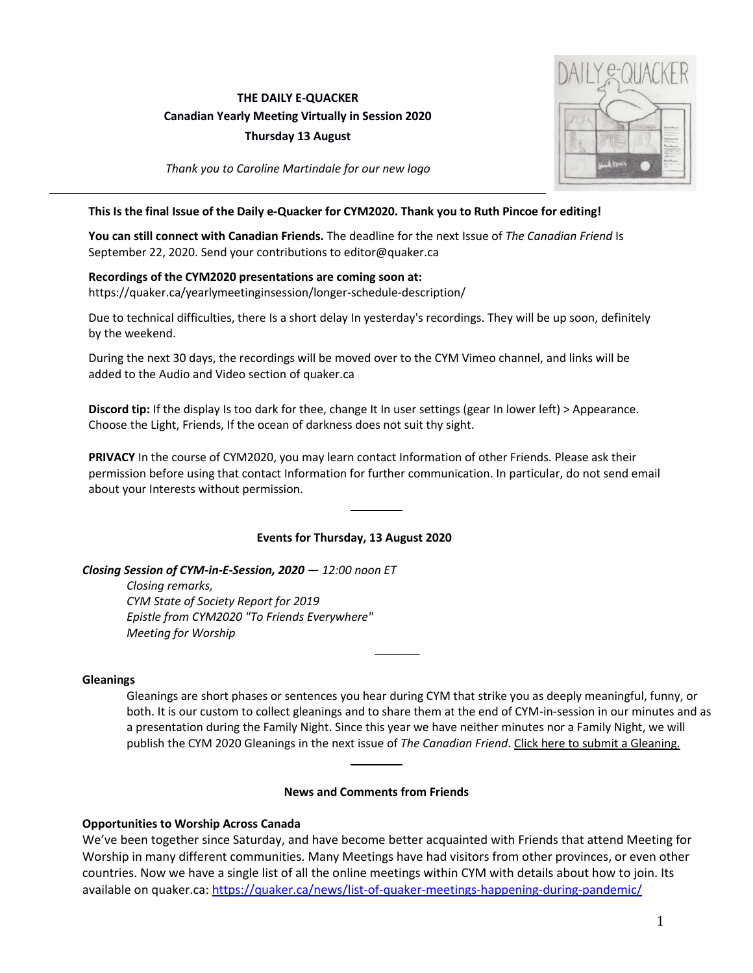# **THE DAILY E-QUACKER Canadian Yearly Meeting Virtually in Session 2020**

**Thursday 13 August**



*Thank you to Caroline Martindale for our new logo*

## **This Is the final Issue of the Daily e-Quacker for CYM2020. Thank you to Ruth Pincoe for editing!**

**You can still connect with Canadian Friends.** The deadline for the next Issue of *The Canadian Friend* Is September 22, 2020. Send your contributions to editor@quaker.ca

## **Recordings of the CYM2020 presentations are coming soon at:**

https://quaker.ca/yearlymeetinginsession/longer-schedule-description/

Due to technical difficulties, there Is a short delay In yesterday's recordings. They will be up soon, definitely by the weekend.

During the next 30 days, the recordings will be moved over to the CYM Vimeo channel, and links will be added to the Audio and Video section of quaker.ca

**Discord tip:** If the display Is too dark for thee, change It In user settings (gear In lower left) > Appearance. Choose the Light, Friends, If the ocean of darkness does not suit thy sight.

**PRIVACY** In the course of CYM2020, you may learn contact Information of other Friends. Please ask their permission before using that contact Information for further communication. In particular, do not send email about your Interests without permission.

## **Events for Thursday, 13 August 2020**

*Closing Session of CYM-in-E-Session, 2020 — 12:00 noon ET*

*Closing remarks, CYM State of Society Report for 2019 Epistle from CYM2020 "To Friends Everywhere" Meeting for Worship*

### **Gleanings**

Gleanings are short phases or sentences you hear during CYM that strike you as deeply meaningful, funny, or both. It is our custom to collect gleanings and to share them at the end of CYM-in-session in our minutes and as a presentation during the Family Night. Since this year we have neither minutes nor a Family Night, we will publish the CYM 2020 Gleanings in the next issue of *The Canadian Friend*. Click here to submit a [Gleaning.](https://quaker.ca/yearlymeetinginsession/gleanings/)

*\_\_\_\_\_\_\_*

### **News and Comments from Friends**

## **Opportunities to Worship Across Canada**

We've been together since Saturday, and have become better acquainted with Friends that attend Meeting for Worship in many different communities. Many Meetings have had visitors from other provinces, or even other countries. Now we have a single list of all the online meetings within CYM with details about how to join. Its available on quaker.ca: https://quaker.ca/news/list-of-quaker-meetings-happening-during-pandemic/